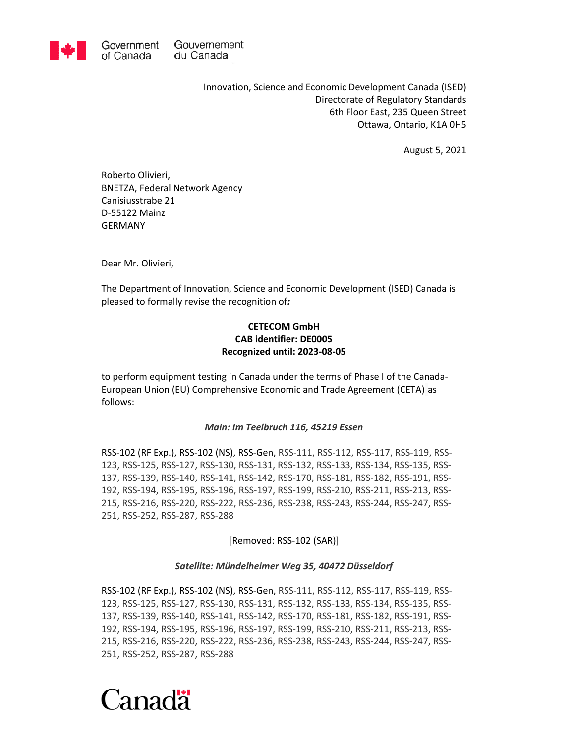

Innovation, Science and Economic Development Canada (ISED) Directorate of Regulatory Standards 6th Floor East, 235 Queen Street Ottawa, Ontario, K1A 0H5

August 5, 2021

Roberto Olivieri, BNETZA, Federal Network Agency Canisiusstrabe 21 D-55122 Mainz GERMANY

Dear Mr. Olivieri,

The Department of Innovation, Science and Economic Development (ISED) Canada is pleased to formally revise the recognition of*:*

# **CETECOM GmbH CAB identifier: DE0005 Recognized until: 2023-08-05**

to perform equipment testing in Canada under the terms of Phase I of the Canada-European Union (EU) Comprehensive Economic and Trade Agreement (CETA) as follows:

## *Main: Im Teelbruch 116, 45219 Essen*

RSS-102 (RF Exp.), RSS-102 (NS), RSS-Gen, RSS-111, RSS-112, RSS-117, RSS-119, RSS-123, RSS-125, RSS-127, RSS-130, RSS-131, RSS-132, RSS-133, RSS-134, RSS-135, RSS-137, RSS-139, RSS-140, RSS-141, RSS-142, RSS-170, RSS-181, RSS-182, RSS-191, RSS-192, RSS-194, RSS-195, RSS-196, RSS-197, RSS-199, RSS-210, RSS-211, RSS-213, RSS-215, RSS-216, RSS-220, RSS-222, RSS-236, RSS-238, RSS-243, RSS-244, RSS-247, RSS-251, RSS-252, RSS-287, RSS-288

[Removed: RSS-102 (SAR)]

#### *Satellite: Mündelheimer Weg 35, 40472 Düsseldorf*

RSS-102 (RF Exp.), RSS-102 (NS), RSS-Gen, RSS-111, RSS-112, RSS-117, RSS-119, RSS-123, RSS-125, RSS-127, RSS-130, RSS-131, RSS-132, RSS-133, RSS-134, RSS-135, RSS-137, RSS-139, RSS-140, RSS-141, RSS-142, RSS-170, RSS-181, RSS-182, RSS-191, RSS-192, RSS-194, RSS-195, RSS-196, RSS-197, RSS-199, RSS-210, RSS-211, RSS-213, RSS-215, RSS-216, RSS-220, RSS-222, RSS-236, RSS-238, RSS-243, RSS-244, RSS-247, RSS-251, RSS-252, RSS-287, RSS-288

# Canadä